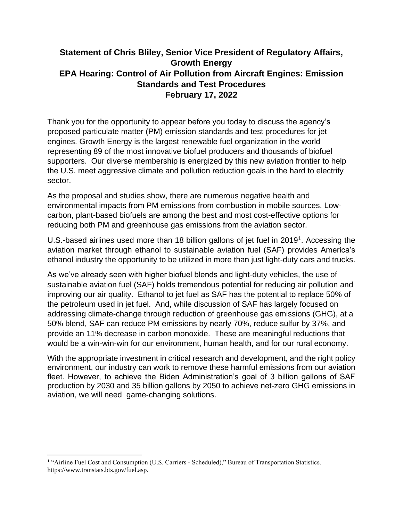## **Statement of Chris Bliley, Senior Vice President of Regulatory Affairs, Growth Energy EPA Hearing: Control of Air Pollution from Aircraft Engines: Emission Standards and Test Procedures February 17, 2022**

Thank you for the opportunity to appear before you today to discuss the agency's proposed particulate matter (PM) emission standards and test procedures for jet engines. Growth Energy is the largest renewable fuel organization in the world representing 89 of the most innovative biofuel producers and thousands of biofuel supporters. Our diverse membership is energized by this new aviation frontier to help the U.S. meet aggressive climate and pollution reduction goals in the hard to electrify sector.

As the proposal and studies show, there are numerous negative health and environmental impacts from PM emissions from combustion in mobile sources. Lowcarbon, plant-based biofuels are among the best and most cost-effective options for reducing both PM and greenhouse gas emissions from the aviation sector.

U.S.-based airlines used more than 18 billion gallons of jet fuel in 2019<sup>1</sup>. Accessing the aviation market through ethanol to sustainable aviation fuel (SAF) provides America's ethanol industry the opportunity to be utilized in more than just light-duty cars and trucks.

As we've already seen with higher biofuel blends and light-duty vehicles, the use of sustainable aviation fuel (SAF) holds tremendous potential for reducing air pollution and improving our air quality. Ethanol to jet fuel as SAF has the potential to replace 50% of the petroleum used in jet fuel. And, while discussion of SAF has largely focused on addressing climate-change through reduction of greenhouse gas emissions (GHG), at a 50% blend, SAF can reduce PM emissions by nearly 70%, reduce sulfur by 37%, and provide an 11% decrease in carbon monoxide. These are meaningful reductions that would be a win-win-win for our environment, human health, and for our rural economy.

With the appropriate investment in critical research and development, and the right policy environment, our industry can work to remove these harmful emissions from our aviation fleet. However, to achieve the Biden Administration's goal of 3 billion gallons of SAF production by 2030 and 35 billion gallons by 2050 to achieve net-zero GHG emissions in aviation, we will need game-changing solutions.

<sup>&</sup>lt;sup>1</sup> "Airline Fuel Cost and Consumption (U.S. Carriers - Scheduled)," Bureau of Transportation Statistics. [https://www.transtats.bts.gov/fuel.asp.](https://www.transtats.bts.gov/fuel.asp)